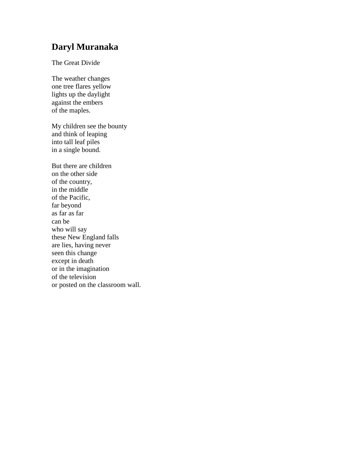## **Daryl Muranaka**

The Great Divide

The weather changes one tree flares yellow lights up the daylight against the embers of the maples.

My children see the bounty and think of leaping into tall leaf piles in a single bound.

But there are children on the other side of the country, in the middle of the Pacific, far beyond as far as far can be who will say these New England falls are lies, having never seen this change except in death or in the imagination of the television or posted on the classroom wall.